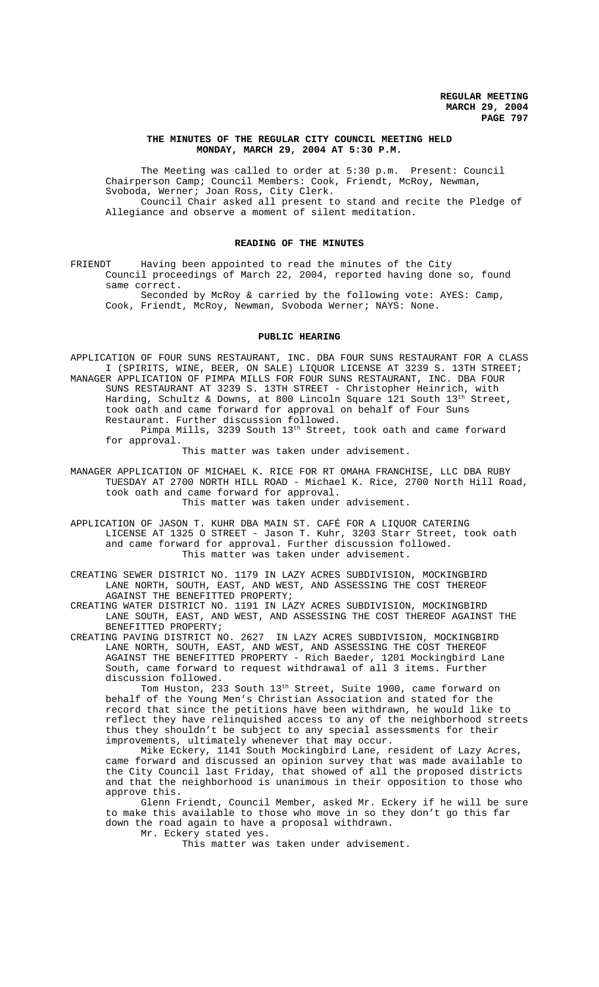### **THE MINUTES OF THE REGULAR CITY COUNCIL MEETING HELD MONDAY, MARCH 29, 2004 AT 5:30 P.M.**

The Meeting was called to order at 5:30 p.m. Present: Council Chairperson Camp; Council Members: Cook, Friendt, McRoy, Newman, Svoboda, Werner; Joan Ross, City Clerk. Council Chair asked all present to stand and recite the Pledge of

Allegiance and observe a moment of silent meditation.

## **READING OF THE MINUTES**

FRIENDT Having been appointed to read the minutes of the City Council proceedings of March 22, 2004, reported having done so, found same correct.

Seconded by McRoy & carried by the following vote: AYES: Camp, Cook, Friendt, McRoy, Newman, Svoboda Werner; NAYS: None.

### **PUBLIC HEARING**

APPLICATION OF FOUR SUNS RESTAURANT, INC. DBA FOUR SUNS RESTAURANT FOR A CLASS I (SPIRITS, WINE, BEER, ON SALE) LIQUOR LICENSE AT 3239 S. 13TH STREET; MANAGER APPLICATION OF PIMPA MILLS FOR FOUR SUNS RESTAURANT, INC. DBA FOUR SUNS RESTAURANT AT 3239 S. 13TH STREET - Christopher Heinrich, with Harding, Schultz & Downs, at 800 Lincoln Square 121 South 13<sup>th</sup> Street, took oath and came forward for approval on behalf of Four Suns Restaurant. Further discussion followed. Pimpa Mills, 3239 South 13th Street, took oath and came forward for approval.

This matter was taken under advisement.

MANAGER APPLICATION OF MICHAEL K. RICE FOR RT OMAHA FRANCHISE, LLC DBA RUBY TUESDAY AT 2700 NORTH HILL ROAD - Michael K. Rice, 2700 North Hill Road, took oath and came forward for approval. This matter was taken under advisement.

APPLICATION OF JASON T. KUHR DBA MAIN ST. CAFÉ FOR A LIQUOR CATERING LICENSE AT 1325 O STREET - Jason T. Kuhr, 3203 Starr Street, took oath and came forward for approval. Further discussion followed. This matter was taken under advisement.

CREATING SEWER DISTRICT NO. 1179 IN LAZY ACRES SUBDIVISION, MOCKINGBIRD LANE NORTH, SOUTH, EAST, AND WEST, AND ASSESSING THE COST THEREOF AGAINST THE BENEFITTED PROPERTY;

CREATING WATER DISTRICT NO. 1191 IN LAZY ACRES SUBDIVISION, MOCKINGBIRD LANE SOUTH, EAST, AND WEST, AND ASSESSING THE COST THEREOF AGAINST THE BENEFITTED PROPERTY;

CREATING PAVING DISTRICT NO. 2627 IN LAZY ACRES SUBDIVISION, MOCKINGBIRD LANE NORTH, SOUTH, EAST, AND WEST, AND ASSESSING THE COST THEREOF AGAINST THE BENEFITTED PROPERTY - Rich Baeder, 1201 Mockingbird Lane South, came forward to request withdrawal of all 3 items. Further discussion followed.

Tom Huston, 233 South 13th Street, Suite 1900, came forward on behalf of the Young Men's Christian Association and stated for the record that since the petitions have been withdrawn, he would like to reflect they have relinquished access to any of the neighborhood streets thus they shouldn't be subject to any special assessments for their improvements, ultimately whenever that may occur.

 Mike Eckery, 1141 South Mockingbird Lane, resident of Lazy Acres, came forward and discussed an opinion survey that was made available to the City Council last Friday, that showed of all the proposed districts and that the neighborhood is unanimous in their opposition to those who approve this.

Glenn Friendt, Council Member, asked Mr. Eckery if he will be sure to make this available to those who move in so they don't go this far down the road again to have a proposal withdrawn.

Mr. Eckery stated yes.

This matter was taken under advisement.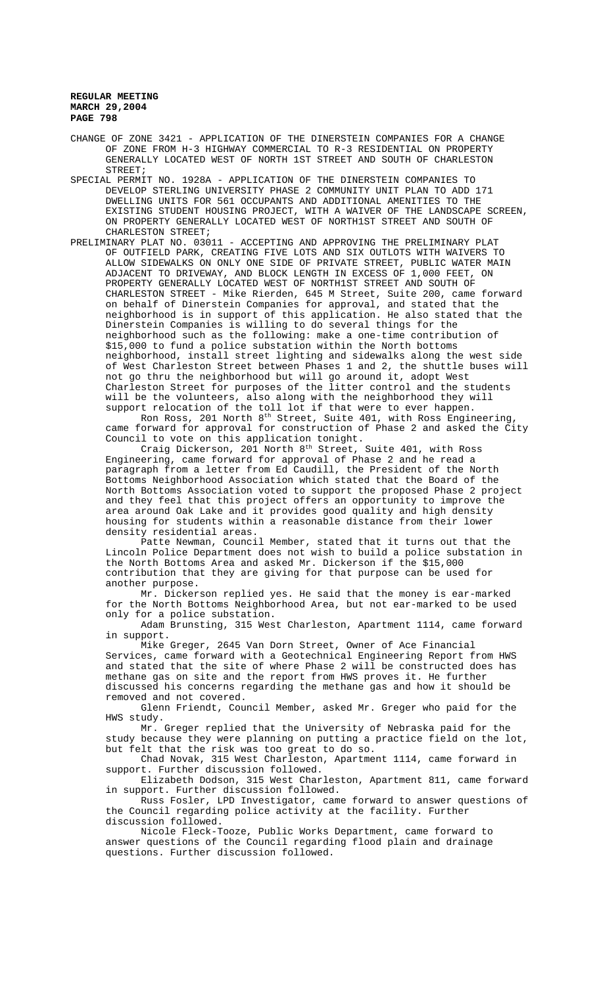CHANGE OF ZONE 3421 - APPLICATION OF THE DINERSTEIN COMPANIES FOR A CHANGE OF ZONE FROM H-3 HIGHWAY COMMERCIAL TO R-3 RESIDENTIAL ON PROPERTY GENERALLY LOCATED WEST OF NORTH 1ST STREET AND SOUTH OF CHARLESTON STREET;

SPECIAL PERMIT NO. 1928A - APPLICATION OF THE DINERSTEIN COMPANIES TO DEVELOP STERLING UNIVERSITY PHASE 2 COMMUNITY UNIT PLAN TO ADD 171 DWELLING UNITS FOR 561 OCCUPANTS AND ADDITIONAL AMENITIES TO THE EXISTING STUDENT HOUSING PROJECT, WITH A WAIVER OF THE LANDSCAPE SCREEN, ON PROPERTY GENERALLY LOCATED WEST OF NORTH1ST STREET AND SOUTH OF CHARLESTON STREET;

PRELIMINARY PLAT NO. 03011 - ACCEPTING AND APPROVING THE PRELIMINARY PLAT OF OUTFIELD PARK, CREATING FIVE LOTS AND SIX OUTLOTS WITH WAIVERS TO ALLOW SIDEWALKS ON ONLY ONE SIDE OF PRIVATE STREET, PUBLIC WATER MAIN ADJACENT TO DRIVEWAY, AND BLOCK LENGTH IN EXCESS OF 1,000 FEET, ON PROPERTY GENERALLY LOCATED WEST OF NORTH1ST STREET AND SOUTH OF CHARLESTON STREET - Mike Rierden, 645 M Street, Suite 200, came forward on behalf of Dinerstein Companies for approval, and stated that the neighborhood is in support of this application. He also stated that the Dinerstein Companies is willing to do several things for the neighborhood such as the following: make a one-time contribution of \$15,000 to fund a police substation within the North bottoms neighborhood, install street lighting and sidewalks along the west side of West Charleston Street between Phases 1 and 2, the shuttle buses will not go thru the neighborhood but will go around it, adopt West Charleston Street for purposes of the litter control and the students will be the volunteers, also along with the neighborhood they will support relocation of the toll lot if that were to ever happen.

Ron Ross, 201 North 8th Street, Suite 401, with Ross Engineering, came forward for approval for construction of Phase 2 and asked the City Council to vote on this application tonight.

Craig Dickerson, 201 North 8<sup>th</sup> Street, Suite 401, with Ross Engineering, came forward for approval of Phase 2 and he read a paragraph from a letter from Ed Caudill, the President of the North Bottoms Neighborhood Association which stated that the Board of the North Bottoms Association voted to support the proposed Phase 2 project and they feel that this project offers an opportunity to improve the area around Oak Lake and it provides good quality and high density housing for students within a reasonable distance from their lower density residential areas.

Patte Newman, Council Member, stated that it turns out that the Lincoln Police Department does not wish to build a police substation in the North Bottoms Area and asked Mr. Dickerson if the \$15,000 contribution that they are giving for that purpose can be used for another purpose.

Mr. Dickerson replied yes. He said that the money is ear-marked for the North Bottoms Neighborhood Area, but not ear-marked to be used only for a police substation.

Adam Brunsting, 315 West Charleston, Apartment 1114, came forward in support.

Mike Greger, 2645 Van Dorn Street, Owner of Ace Financial Services, came forward with a Geotechnical Engineering Report from HWS and stated that the site of where Phase 2 will be constructed does has methane gas on site and the report from HWS proves it. He further discussed his concerns regarding the methane gas and how it should be removed and not covered.

Glenn Friendt, Council Member, asked Mr. Greger who paid for the HWS study.

Mr. Greger replied that the University of Nebraska paid for the study because they were planning on putting a practice field on the lot, but felt that the risk was too great to do so.

Chad Novak, 315 West Charleston, Apartment 1114, came forward in support. Further discussion followed.

Elizabeth Dodson, 315 West Charleston, Apartment 811, came forward in support. Further discussion followed.

Russ Fosler, LPD Investigator, came forward to answer questions of the Council regarding police activity at the facility. Further discussion followed.

Nicole Fleck-Tooze, Public Works Department, came forward to answer questions of the Council regarding flood plain and drainage questions. Further discussion followed.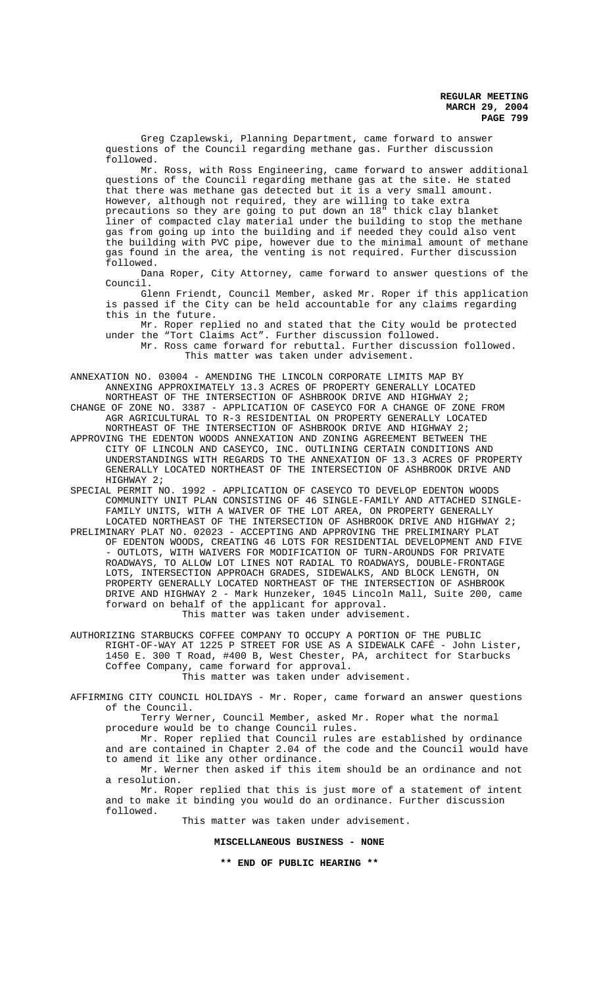Greg Czaplewski, Planning Department, came forward to answer questions of the Council regarding methane gas. Further discussion followed.

Mr. Ross, with Ross Engineering, came forward to answer additional questions of the Council regarding methane gas at the site. He stated that there was methane gas detected but it is a very small amount. However, although not required, they are willing to take extra precautions so they are going to put down an 18" thick clay blanket liner of compacted clay material under the building to stop the methane gas from going up into the building and if needed they could also vent the building with PVC pipe, however due to the minimal amount of methane gas found in the area, the venting is not required. Further discussion followed.

Dana Roper, City Attorney, came forward to answer questions of the Council.

Glenn Friendt, Council Member, asked Mr. Roper if this application is passed if the City can be held accountable for any claims regarding this in the future.

Mr. Roper replied no and stated that the City would be protected under the "Tort Claims Act". Further discussion followed. Mr. Ross came forward for rebuttal. Further discussion followed.

This matter was taken under advisement.

ANNEXATION NO. 03004 - AMENDING THE LINCOLN CORPORATE LIMITS MAP BY ANNEXING APPROXIMATELY 13.3 ACRES OF PROPERTY GENERALLY LOCATED NORTHEAST OF THE INTERSECTION OF ASHBROOK DRIVE AND HIGHWAY 2;

CHANGE OF ZONE NO. 3387 - APPLICATION OF CASEYCO FOR A CHANGE OF ZONE FROM AGR AGRICULTURAL TO R-3 RESIDENTIAL ON PROPERTY GENERALLY LOCATED NORTHEAST OF THE INTERSECTION OF ASHBROOK DRIVE AND HIGHWAY 2;

APPROVING THE EDENTON WOODS ANNEXATION AND ZONING AGREEMENT BETWEEN THE CITY OF LINCOLN AND CASEYCO, INC. OUTLINING CERTAIN CONDITIONS AND UNDERSTANDINGS WITH REGARDS TO THE ANNEXATION OF 13.3 ACRES OF PROPERTY GENERALLY LOCATED NORTHEAST OF THE INTERSECTION OF ASHBROOK DRIVE AND HIGHWAY 2;

SPECIAL PERMIT NO. 1992 - APPLICATION OF CASEYCO TO DEVELOP EDENTON WOODS COMMUNITY UNIT PLAN CONSISTING OF 46 SINGLE-FAMILY AND ATTACHED SINGLE-FAMILY UNITS, WITH A WAIVER OF THE LOT AREA, ON PROPERTY GENERALLY LOCATED NORTHEAST OF THE INTERSECTION OF ASHBROOK DRIVE AND HIGHWAY 2;

PRELIMINARY PLAT NO. 02023 - ACCEPTING AND APPROVING THE PRELIMINARY PLAT OF EDENTON WOODS, CREATING 46 LOTS FOR RESIDENTIAL DEVELOPMENT AND FIVE - OUTLOTS, WITH WAIVERS FOR MODIFICATION OF TURN-AROUNDS FOR PRIVATE ROADWAYS, TO ALLOW LOT LINES NOT RADIAL TO ROADWAYS, DOUBLE-FRONTAGE LOTS, INTERSECTION APPROACH GRADES, SIDEWALKS, AND BLOCK LENGTH, ON PROPERTY GENERALLY LOCATED NORTHEAST OF THE INTERSECTION OF ASHBROOK DRIVE AND HIGHWAY 2 - Mark Hunzeker, 1045 Lincoln Mall, Suite 200, came forward on behalf of the applicant for approval. This matter was taken under advisement.

AUTHORIZING STARBUCKS COFFEE COMPANY TO OCCUPY A PORTION OF THE PUBLIC RIGHT-OF-WAY AT 1225 P STREET FOR USE AS A SIDEWALK CAFÉ - John Lister, 1450 E. 300 T Road, #400 B, West Chester, PA, architect for Starbucks Coffee Company, came forward for approval. This matter was taken under advisement.

AFFIRMING CITY COUNCIL HOLIDAYS - Mr. Roper, came forward an answer questions of the Council.

Terry Werner, Council Member, asked Mr. Roper what the normal procedure would be to change Council rules.

Mr. Roper replied that Council rules are established by ordinance and are contained in Chapter 2.04 of the code and the Council would have to amend it like any other ordinance.

Mr. Werner then asked if this item should be an ordinance and not a resolution.

Mr. Roper replied that this is just more of a statement of intent and to make it binding you would do an ordinance. Further discussion followed.

This matter was taken under advisement.

**MISCELLANEOUS BUSINESS - NONE**

**\*\* END OF PUBLIC HEARING \*\***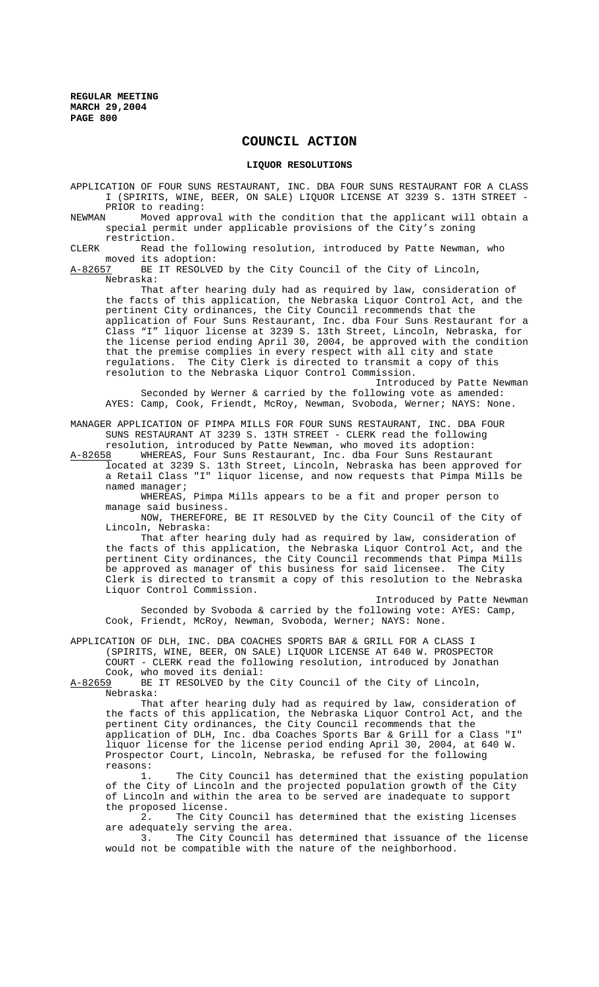## **COUNCIL ACTION**

## **LIQUOR RESOLUTIONS**

APPLICATION OF FOUR SUNS RESTAURANT, INC. DBA FOUR SUNS RESTAURANT FOR A CLASS I (SPIRITS, WINE, BEER, ON SALE) LIQUOR LICENSE AT 3239 S. 13TH STREET - PRIOR to reading:

NEWMAN Moved approval with the condition that the applicant will obtain a special permit under applicable provisions of the City's zoning restriction.

CLERK Read the following resolution, introduced by Patte Newman, who moved its adoption:<br>A-82657 BE IT RESOLVE

BE IT RESOLVED by the City Council of the City of Lincoln, Nebraska:

That after hearing duly had as required by law, consideration of the facts of this application, the Nebraska Liquor Control Act, and the pertinent City ordinances, the City Council recommends that the application of Four Suns Restaurant, Inc. dba Four Suns Restaurant for a Class "I" liquor license at 3239 S. 13th Street, Lincoln, Nebraska, for the license period ending April 30, 2004, be approved with the condition that the premise complies in every respect with all city and state regulations. The City Clerk is directed to transmit a copy of this resolution to the Nebraska Liquor Control Commission.

Introduced by Patte Newman Seconded by Werner & carried by the following vote as amended: AYES: Camp, Cook, Friendt, McRoy, Newman, Svoboda, Werner; NAYS: None.

MANAGER APPLICATION OF PIMPA MILLS FOR FOUR SUNS RESTAURANT, INC. DBA FOUR SUNS RESTAURANT AT 3239 S. 13TH STREET - CLERK read the following resolution, introduced by Patte Newman, who moved its adoption:

A-82658 WHEREAS, Four Suns Restaurant, Inc. dba Four Suns Restaurant located at 3239 S. 13th Street, Lincoln, Nebraska has been approved for a Retail Class "I" liquor license, and now requests that Pimpa Mills be named manager;

WHEREAS, Pimpa Mills appears to be a fit and proper person to manage said business.

NOW, THEREFORE, BE IT RESOLVED by the City Council of the City of Lincoln, Nebraska:

That after hearing duly had as required by law, consideration of the facts of this application, the Nebraska Liquor Control Act, and the pertinent City ordinances, the City Council recommends that Pimpa Mills be approved as manager of this business for said licensee. The City Clerk is directed to transmit a copy of this resolution to the Nebraska Liquor Control Commission.

Introduced by Patte Newman Seconded by Svoboda & carried by the following vote: AYES: Camp, Cook, Friendt, McRoy, Newman, Svoboda, Werner; NAYS: None.

APPLICATION OF DLH, INC. DBA COACHES SPORTS BAR & GRILL FOR A CLASS I (SPIRITS, WINE, BEER, ON SALE) LIQUOR LICENSE AT 640 W. PROSPECTOR COURT - CLERK read the following resolution, introduced by Jonathan

Cook, who moved its denial:<br>A-82659 BE IT RESOLVED by the BE IT RESOLVED by the City Council of the City of Lincoln, Nebraska:

That after hearing duly had as required by law, consideration of the facts of this application, the Nebraska Liquor Control Act, and the pertinent City ordinances, the City Council recommends that the application of DLH, Inc. dba Coaches Sports Bar & Grill for a Class "I" liquor license for the license period ending April 30, 2004, at 640 W. Prospector Court, Lincoln, Nebraska, be refused for the following reasons:

The City Council has determined that the existing population of the City of Lincoln and the projected population growth of the City of Lincoln and within the area to be served are inadequate to support the proposed license.

2. The City Council has determined that the existing licenses

are adequately serving the area.<br>3. The City Council has The City Council has determined that issuance of the license would not be compatible with the nature of the neighborhood.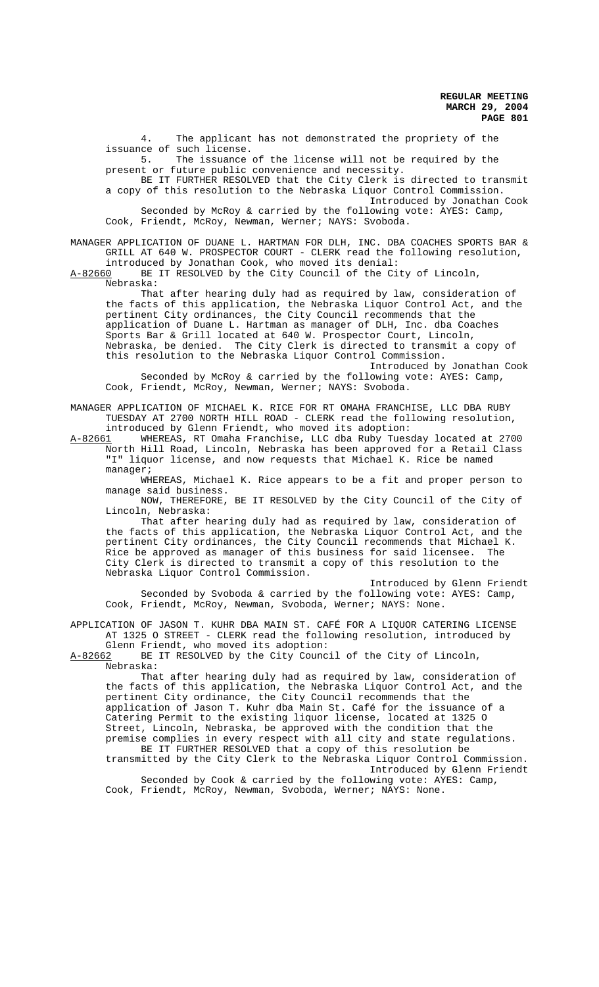4. The applicant has not demonstrated the propriety of the issuance of such license.<br>5. The issuance

The issuance of the license will not be required by the present or future public convenience and necessity.

BE IT FURTHER RESOLVED that the City Clerk is directed to transmit a copy of this resolution to the Nebraska Liquor Control Commission. Introduced by Jonathan Cook Seconded by McRoy & carried by the following vote: AYES: Camp,

Cook, Friendt, McRoy, Newman, Werner; NAYS: Svoboda.

MANAGER APPLICATION OF DUANE L. HARTMAN FOR DLH, INC. DBA COACHES SPORTS BAR & GRILL AT 640 W. PROSPECTOR COURT - CLERK read the following resolution, introduced by Jonathan Cook, who moved its denial:<br>A-82660 BE IT RESOLVED by the City Council of the Ci

BE IT RESOLVED by the City Council of the City of Lincoln, Nebraska:

That after hearing duly had as required by law, consideration of the facts of this application, the Nebraska Liquor Control Act, and the pertinent City ordinances, the City Council recommends that the application of Duane L. Hartman as manager of DLH, Inc. dba Coaches Sports Bar & Grill located at 640 W. Prospector Court, Lincoln, Nebraska, be denied. The City Clerk is directed to transmit a copy of this resolution to the Nebraska Liquor Control Commission. Introduced by Jonathan Cook

Seconded by McRoy & carried by the following vote: AYES: Camp, Cook, Friendt, McRoy, Newman, Werner; NAYS: Svoboda.

MANAGER APPLICATION OF MICHAEL K. RICE FOR RT OMAHA FRANCHISE, LLC DBA RUBY TUESDAY AT 2700 NORTH HILL ROAD - CLERK read the following resolution, introduced by Glenn Friendt, who moved its adoption:

A-82661 WHEREAS, RT Omaha Franchise, LLC dba Ruby Tuesday located at 2700 North Hill Road, Lincoln, Nebraska has been approved for a Retail Class "I" liquor license, and now requests that Michael K. Rice be named manager;

WHEREAS, Michael K. Rice appears to be a fit and proper person to manage said business.

NOW, THEREFORE, BE IT RESOLVED by the City Council of the City of Lincoln, Nebraska:

That after hearing duly had as required by law, consideration of the facts of this application, the Nebraska Liquor Control Act, and the pertinent City ordinances, the City Council recommends that Michael K. Rice be approved as manager of this business for said licensee. The City Clerk is directed to transmit a copy of this resolution to the Nebraska Liquor Control Commission.

Introduced by Glenn Friendt Seconded by Svoboda & carried by the following vote: AYES: Camp, Cook, Friendt, McRoy, Newman, Svoboda, Werner; NAYS: None.

APPLICATION OF JASON T. KUHR DBA MAIN ST. CAFÉ FOR A LIQUOR CATERING LICENSE AT 1325 O STREET - CLERK read the following resolution, introduced by

Glenn Friendt, who moved its adoption:<br>A-82662 BE IT RESOLVED by the City Counc BE IT RESOLVED by the City Council of the City of Lincoln, Nebraska:

That after hearing duly had as required by law, consideration of the facts of this application, the Nebraska Liquor Control Act, and the pertinent City ordinance, the City Council recommends that the application of Jason T. Kuhr dba Main St. Café for the issuance of a Catering Permit to the existing liquor license, located at 1325 O Street, Lincoln, Nebraska, be approved with the condition that the premise complies in every respect with all city and state regulations. BE IT FURTHER RESOLVED that a copy of this resolution be transmitted by the City Clerk to the Nebraska Liquor Control Commission.

Introduced by Glenn Friendt Seconded by Cook & carried by the following vote: AYES: Camp, Cook, Friendt, McRoy, Newman, Svoboda, Werner; NAYS: None.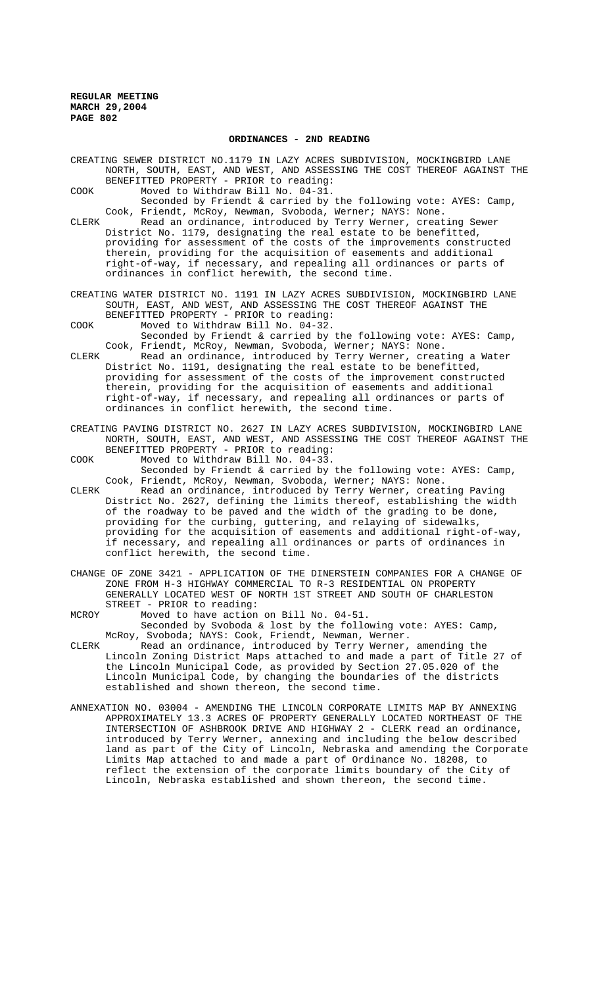### **ORDINANCES - 2ND READING**

CREATING SEWER DISTRICT NO.1179 IN LAZY ACRES SUBDIVISION, MOCKINGBIRD LANE NORTH, SOUTH, EAST, AND WEST, AND ASSESSING THE COST THEREOF AGAINST THE BENEFITTED PROPERTY - PRIOR to reading:

- COOK Moved to Withdraw Bill No. 04-31. Seconded by Friendt & carried by the following vote: AYES: Camp,
- Cook, Friendt, McRoy, Newman, Svoboda, Werner; NAYS: None. CLERK Read an ordinance, introduced by Terry Werner, creating Sewer District No. 1179, designating the real estate to be benefitted, providing for assessment of the costs of the improvements constructed therein, providing for the acquisition of easements and additional right-of-way, if necessary, and repealing all ordinances or parts of ordinances in conflict herewith, the second time.
- CREATING WATER DISTRICT NO. 1191 IN LAZY ACRES SUBDIVISION, MOCKINGBIRD LANE SOUTH, EAST, AND WEST, AND ASSESSING THE COST THEREOF AGAINST THE BENEFITTED PROPERTY - PRIOR to reading:

COOK Moved to Withdraw Bill No. 04-32.

Seconded by Friendt & carried by the following vote: AYES: Camp, Cook, Friendt, McRoy, Newman, Svoboda, Werner; NAYS: None.

CLERK Read an ordinance, introduced by Terry Werner, creating a Water District No. 1191, designating the real estate to be benefitted, providing for assessment of the costs of the improvement constructed therein, providing for the acquisition of easements and additional right-of-way, if necessary, and repealing all ordinances or parts of ordinances in conflict herewith, the second time.

CREATING PAVING DISTRICT NO. 2627 IN LAZY ACRES SUBDIVISION, MOCKINGBIRD LANE NORTH, SOUTH, EAST, AND WEST, AND ASSESSING THE COST THEREOF AGAINST THE BENEFITTED PROPERTY - PRIOR to reading:

COOK Moved to Withdraw Bill No. 04-33.

Seconded by Friendt & carried by the following vote: AYES: Camp, Cook, Friendt, McRoy, Newman, Svoboda, Werner; NAYS: None.

- CLERK Read an ordinance, introduced by Terry Werner, creating Paving District No. 2627, defining the limits thereof, establishing the width of the roadway to be paved and the width of the grading to be done, providing for the curbing, guttering, and relaying of sidewalks, providing for the acquisition of easements and additional right-of-way, if necessary, and repealing all ordinances or parts of ordinances in conflict herewith, the second time.
- CHANGE OF ZONE 3421 APPLICATION OF THE DINERSTEIN COMPANIES FOR A CHANGE OF ZONE FROM H-3 HIGHWAY COMMERCIAL TO R-3 RESIDENTIAL ON PROPERTY GENERALLY LOCATED WEST OF NORTH 1ST STREET AND SOUTH OF CHARLESTON STREET - PRIOR to reading:
- MCROY Moved to have action on Bill No. 04-51. Seconded by Svoboda & lost by the following vote: AYES: Camp, McRoy, Svoboda; NAYS: Cook, Friendt, Newman, Werner.
- CLERK Read an ordinance, introduced by Terry Werner, amending the Lincoln Zoning District Maps attached to and made a part of Title 27 of the Lincoln Municipal Code, as provided by Section 27.05.020 of the Lincoln Municipal Code, by changing the boundaries of the districts established and shown thereon, the second time.
- ANNEXATION NO. 03004 AMENDING THE LINCOLN CORPORATE LIMITS MAP BY ANNEXING APPROXIMATELY 13.3 ACRES OF PROPERTY GENERALLY LOCATED NORTHEAST OF THE INTERSECTION OF ASHBROOK DRIVE AND HIGHWAY 2 - CLERK read an ordinance, introduced by Terry Werner, annexing and including the below described land as part of the City of Lincoln, Nebraska and amending the Corporate Limits Map attached to and made a part of Ordinance No. 18208, to reflect the extension of the corporate limits boundary of the City of Lincoln, Nebraska established and shown thereon, the second time.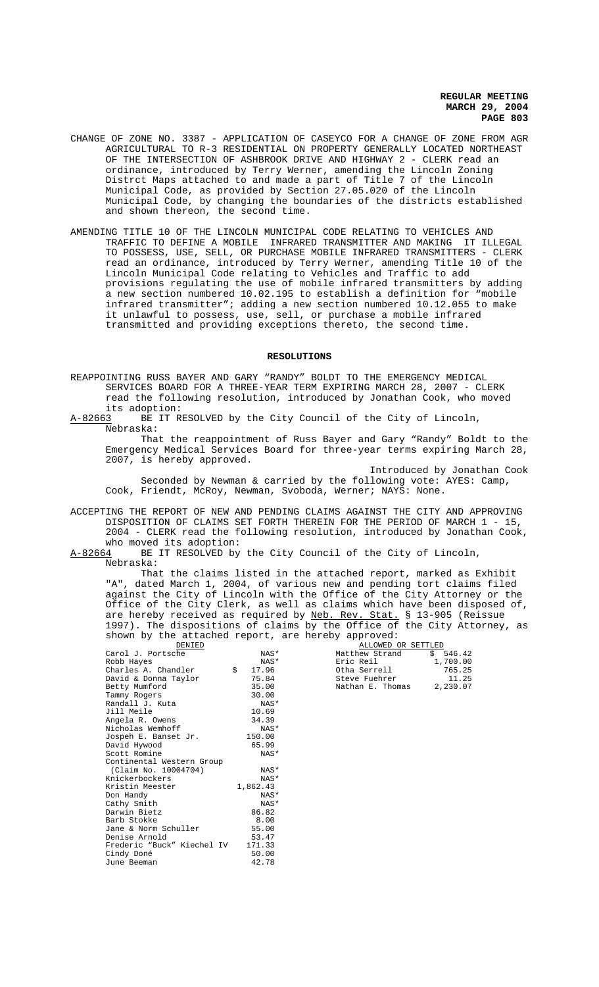- CHANGE OF ZONE NO. 3387 APPLICATION OF CASEYCO FOR A CHANGE OF ZONE FROM AGR AGRICULTURAL TO R-3 RESIDENTIAL ON PROPERTY GENERALLY LOCATED NORTHEAST OF THE INTERSECTION OF ASHBROOK DRIVE AND HIGHWAY 2 - CLERK read an ordinance, introduced by Terry Werner, amending the Lincoln Zoning Distrct Maps attached to and made a part of Title 7 of the Lincoln Municipal Code, as provided by Section 27.05.020 of the Lincoln Municipal Code, by changing the boundaries of the districts established and shown thereon, the second time.
- AMENDING TITLE 10 OF THE LINCOLN MUNICIPAL CODE RELATING TO VEHICLES AND TRAFFIC TO DEFINE A MOBILE INFRARED TRANSMITTER AND MAKING IT ILLEGAL TO POSSESS, USE, SELL, OR PURCHASE MOBILE INFRARED TRANSMITTERS - CLERK read an ordinance, introduced by Terry Werner, amending Title 10 of the Lincoln Municipal Code relating to Vehicles and Traffic to add provisions regulating the use of mobile infrared transmitters by adding a new section numbered 10.02.195 to establish a definition for "mobile infrared transmitter"; adding a new section numbered 10.12.055 to make it unlawful to possess, use, sell, or purchase a mobile infrared transmitted and providing exceptions thereto, the second time.

### **RESOLUTIONS**

REAPPOINTING RUSS BAYER AND GARY "RANDY" BOLDT TO THE EMERGENCY MEDICAL SERVICES BOARD FOR A THREE-YEAR TERM EXPIRING MARCH 28, 2007 - CLERK read the following resolution, introduced by Jonathan Cook, who moved its adoption:<br>A-82663 BE IT R

BE IT RESOLVED by the City Council of the City of Lincoln, Nebraska:

That the reappointment of Russ Bayer and Gary "Randy" Boldt to the Emergency Medical Services Board for three-year terms expiring March 28, 2007, is hereby approved.

Introduced by Jonathan Cook Seconded by Newman & carried by the following vote: AYES: Camp, Cook, Friendt, McRoy, Newman, Svoboda, Werner; NAYS: None.

ACCEPTING THE REPORT OF NEW AND PENDING CLAIMS AGAINST THE CITY AND APPROVING DISPOSITION OF CLAIMS SET FORTH THEREIN FOR THE PERIOD OF MARCH 1 - 15, 2004 - CLERK read the following resolution, introduced by Jonathan Cook,

who moved its adoption:<br>A-82664 BE IT RESOLVED by BE IT RESOLVED by the City Council of the City of Lincoln, Nebraska:

That the claims listed in the attached report, marked as Exhibit "A", dated March 1, 2004, of various new and pending tort claims filed against the City of Lincoln with the Office of the City Attorney or the Office of the City Clerk, as well as claims which have been disposed of, are hereby received as required by Neb. Rev. Stat. § 13-905 (Reissue 1997). The dispositions of claims by the Office of the City Attorney, as shown by the attached report, are hereby approved:

| DENIED                            |             |                  | ALLOWED OR SETTLED |  |  |
|-----------------------------------|-------------|------------------|--------------------|--|--|
| Carol J. Portsche                 | NAS*        | Matthew Strand   | \$546.42           |  |  |
| Robb Hayes                        | NAS*        | Eric Reil        | 1,700.00           |  |  |
| Charles A. Chandler               | \$<br>17.96 | Otha Serrell     | 765.25             |  |  |
| David & Donna Taylor              | 75.84       | Steve Fuehrer    | 11.25              |  |  |
| Betty Mumford                     | 35.00       | Nathan E. Thomas | 2,230.07           |  |  |
| Tammy Rogers                      | 30.00       |                  |                    |  |  |
| Randall J. Kuta                   | NAS*        |                  |                    |  |  |
| Jill Meile                        | 10.69       |                  |                    |  |  |
| Angela R. Owens                   | 34.39       |                  |                    |  |  |
| Nicholas Wemhoff                  | NAS*        |                  |                    |  |  |
| Jospeh E. Banset Jr.              | 150.00      |                  |                    |  |  |
| David Hywood                      | 65.99       |                  |                    |  |  |
| Scott Romine                      | NAS*        |                  |                    |  |  |
| Continental Western Group         |             |                  |                    |  |  |
| (Claim No. 10004704)              | NAS*        |                  |                    |  |  |
| Knickerbockers                    | NAS*        |                  |                    |  |  |
| Kristin Meester                   | 1,862.43    |                  |                    |  |  |
| Don Handy                         | NAS*        |                  |                    |  |  |
| Cathy Smith                       | NAS*        |                  |                    |  |  |
| Darwin Bietz                      | 86.82       |                  |                    |  |  |
| Barb Stokke                       | 8.00        |                  |                    |  |  |
| Jane & Norm Schuller              | 55.00       |                  |                    |  |  |
| Denise Arnold                     | 53.47       |                  |                    |  |  |
| Frederic "Buck" Kiechel IV 171.33 |             |                  |                    |  |  |
| Cindy Doné                        | 50.00       |                  |                    |  |  |
| June Beeman                       | 42.78       |                  |                    |  |  |
|                                   |             |                  |                    |  |  |

| ALLOWED OR SETTLED |          |
|--------------------|----------|
| Matthew Strand     | \$546.42 |
| Eric Reil          | 1,700.00 |
| Otha Serrell       | 765.25   |
| Steve Fuehrer      | 11.25    |
| Nathan E. Thomas   | 2,230.07 |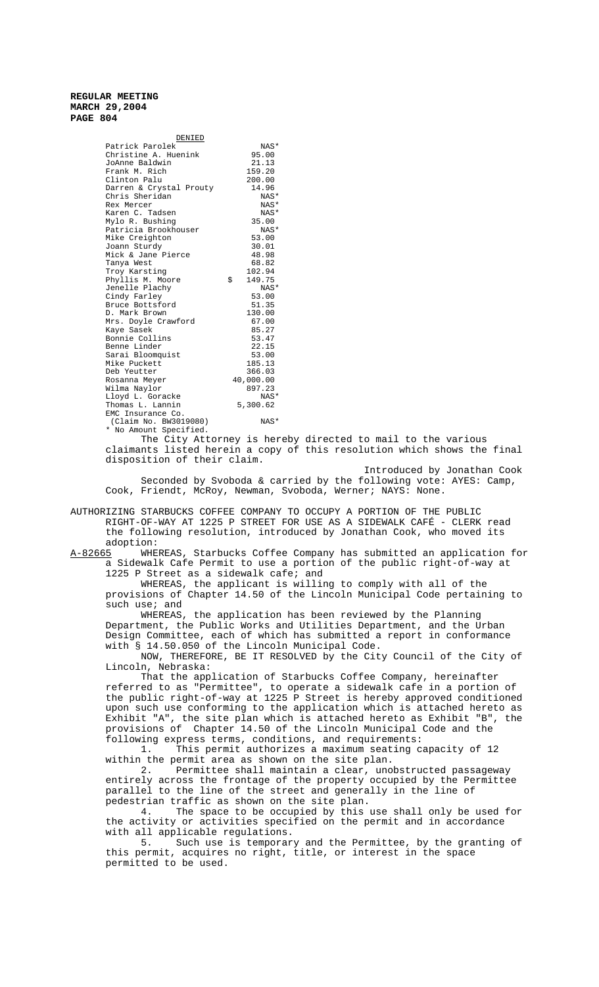| DENIED                  |              |
|-------------------------|--------------|
| Patrick Parolek         | NAS*         |
| Christine A. Huenink    | 95.00        |
| JoAnne Baldwin          | 21.13        |
| Frank M. Rich           | 159.20       |
| Clinton Palu            | 200.00       |
| Darren & Crystal Prouty | 14.96        |
| Chris Sheridan          | NAS*         |
| Rex Mercer              | NAS*         |
| Karen C. Tadsen         | NAS*         |
| Mylo R. Bushing         | 35.00        |
| Patricia Brookhouser    | NAS*         |
| Mike Creighton          | 53.00        |
| Joann Sturdy            | 30.01        |
| Mick & Jane Pierce      | 48.98        |
| Tanya West              | 68.82        |
| Troy Karsting           | 102.94       |
| Phyllis M. Moore        | \$<br>149.75 |
| Jenelle Plachy          | NAS*         |
| Cindy Farley            | 53.00        |
| Bruce Bottsford         | 51.35        |
| D. Mark Brown           | 130.00       |
| Mrs. Doyle Crawford     | 67.00        |
| Kaye Sasek              | 85.27        |
| Bonnie Collins          | 53.47        |
| Benne Linder            | 22.15        |
| Sarai Bloomquist        | 53.00        |
| Mike Puckett            | 185.13       |
| Deb Yeutter             | 366.03       |
| Rosanna Meyer           | 40,000.00    |
| Wilma Naylor            | 897.23       |
| Lloyd L. Goracke        | NAS*         |
| Thomas L. Lannin        | 5,300.62     |
| EMC Insurance Co.       |              |
| (Claim No. BW3019080)   | NAS*         |

\* No Amount Specified.

The City Attorney is hereby directed to mail to the various claimants listed herein a copy of this resolution which shows the final disposition of their claim.

Introduced by Jonathan Cook Seconded by Svoboda & carried by the following vote: AYES: Camp, Cook, Friendt, McRoy, Newman, Svoboda, Werner; NAYS: None.

AUTHORIZING STARBUCKS COFFEE COMPANY TO OCCUPY A PORTION OF THE PUBLIC RIGHT-OF-WAY AT 1225 P STREET FOR USE AS A SIDEWALK CAFÉ - CLERK read the following resolution, introduced by Jonathan Cook, who moved its

adoption:<br><u>A-82665</u> WHE WHEREAS, Starbucks Coffee Company has submitted an application for a Sidewalk Cafe Permit to use a portion of the public right-of-way at 1225 P Street as a sidewalk cafe; and

WHEREAS, the applicant is willing to comply with all of the provisions of Chapter 14.50 of the Lincoln Municipal Code pertaining to such use; and

WHEREAS, the application has been reviewed by the Planning Department, the Public Works and Utilities Department, and the Urban Design Committee, each of which has submitted a report in conformance with § 14.50.050 of the Lincoln Municipal Code.

NOW, THEREFORE, BE IT RESOLVED by the City Council of the City of Lincoln, Nebraska:

That the application of Starbucks Coffee Company, hereinafter referred to as "Permittee", to operate a sidewalk cafe in a portion of the public right-of-way at 1225 P Street is hereby approved conditioned upon such use conforming to the application which is attached hereto as Exhibit "A", the site plan which is attached hereto as Exhibit "B", the provisions of Chapter 14.50 of the Lincoln Municipal Code and the following express terms, conditions, and requirements:

1. This permit authorizes a maximum seating capacity of 12 within the permit area as shown on the site plan.

2. Permittee shall maintain a clear, unobstructed passageway entirely across the frontage of the property occupied by the Permittee parallel to the line of the street and generally in the line of pedestrian traffic as shown on the site plan.<br>4 The space to be occupied by this

The space to be occupied by this use shall only be used for the activity or activities specified on the permit and in accordance with all applicable regulations.<br>5. Such use is temporary

Such use is temporary and the Permittee, by the granting of this permit, acquires no right, title, or interest in the space permitted to be used.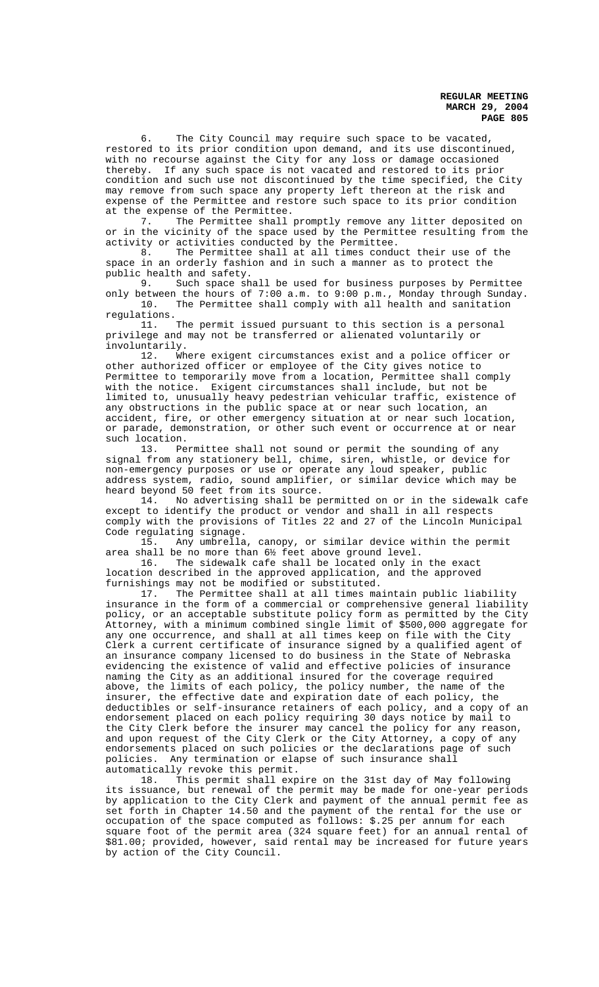6. The City Council may require such space to be vacated, restored to its prior condition upon demand, and its use discontinued, with no recourse against the City for any loss or damage occasioned thereby. If any such space is not vacated and restored to its prior condition and such use not discontinued by the time specified, the City may remove from such space any property left thereon at the risk and expense of the Permittee and restore such space to its prior condition at the expense of the Permittee.

7. The Permittee shall promptly remove any litter deposited on or in the vicinity of the space used by the Permittee resulting from the activity or activities conducted by the Permittee.<br>8. The Permittee shall at all times condu

The Permittee shall at all times conduct their use of the space in an orderly fashion and in such a manner as to protect the public health and safety.<br>9. Such space sh

Such space shall be used for business purposes by Permittee only between the hours of  $7:00$  a.m. to  $9:00$  p.m., Monday through Sunday.<br>10. The Permittee shall comply with all health and sanitation The Permittee shall comply with all health and sanitation

regulations. 11. The permit issued pursuant to this section is a personal privilege and may not be transferred or alienated voluntarily or involuntarily.

12. Where exigent circumstances exist and a police officer or other authorized officer or employee of the City gives notice to Permittee to temporarily move from a location, Permittee shall comply with the notice. Exigent circumstances shall include, but not be limited to, unusually heavy pedestrian vehicular traffic, existence of any obstructions in the public space at or near such location, an accident, fire, or other emergency situation at or near such location, or parade, demonstration, or other such event or occurrence at or near such location.

13. Permittee shall not sound or permit the sounding of any signal from any stationery bell, chime, siren, whistle, or device for non-emergency purposes or use or operate any loud speaker, public address system, radio, sound amplifier, or similar device which may be heard beyond 50 feet from its source.<br>14. No advertising shall be pe

No advertising shall be permitted on or in the sidewalk cafe except to identify the product or vendor and shall in all respects comply with the provisions of Titles 22 and 27 of the Lincoln Municipal Code regulating signage.

15. Any umbrella, canopy, or similar device within the permit area shall be no more than 6½ feet above ground level.

16. The sidewalk cafe shall be located only in the exact location described in the approved application, and the approved

furnishings may not be modified or substituted.<br>17. The Permittee shall at all times ma The Permittee shall at all times maintain public liability insurance in the form of a commercial or comprehensive general liability policy, or an acceptable substitute policy form as permitted by the City Attorney, with a minimum combined single limit of \$500,000 aggregate for any one occurrence, and shall at all times keep on file with the City Clerk a current certificate of insurance signed by a qualified agent of an insurance company licensed to do business in the State of Nebraska evidencing the existence of valid and effective policies of insurance naming the City as an additional insured for the coverage required above, the limits of each policy, the policy number, the name of the insurer, the effective date and expiration date of each policy, the deductibles or self-insurance retainers of each policy, and a copy of an endorsement placed on each policy requiring 30 days notice by mail to the City Clerk before the insurer may cancel the policy for any reason, and upon request of the City Clerk or the City Attorney, a copy of any endorsements placed on such policies or the declarations page of such policies. Any termination or elapse of such insurance shall automatically revoke this permit.

18. This permit shall expire on the 31st day of May following its issuance, but renewal of the permit may be made for one-year periods by application to the City Clerk and payment of the annual permit fee as set forth in Chapter 14.50 and the payment of the rental for the use or occupation of the space computed as follows: \$.25 per annum for each square foot of the permit area (324 square feet) for an annual rental of \$81.00; provided, however, said rental may be increased for future years by action of the City Council.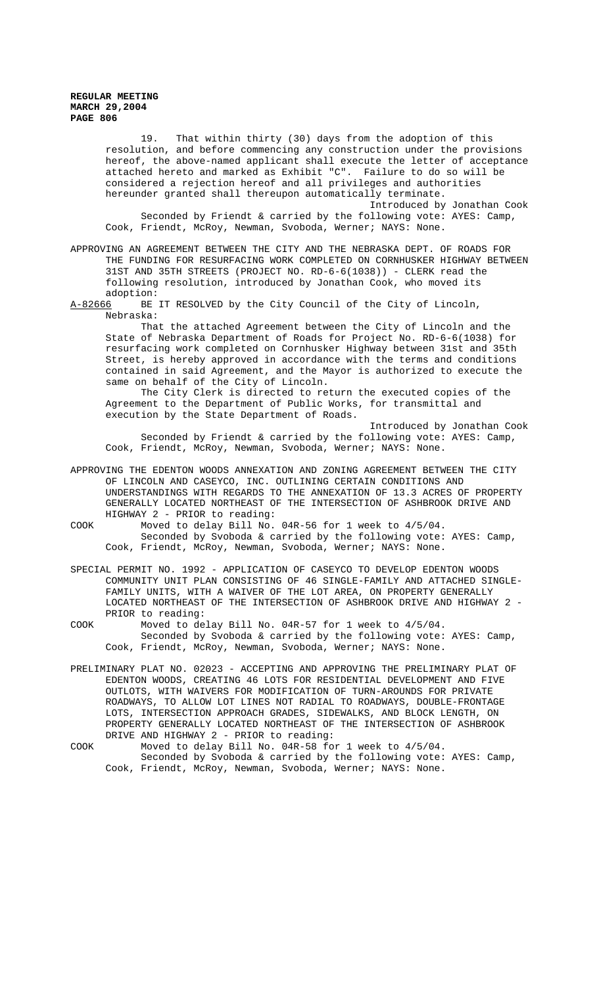19. That within thirty (30) days from the adoption of this resolution, and before commencing any construction under the provisions hereof, the above-named applicant shall execute the letter of acceptance attached hereto and marked as Exhibit "C". Failure to do so will be considered a rejection hereof and all privileges and authorities hereunder granted shall thereupon automatically terminate. Introduced by Jonathan Cook Seconded by Friendt & carried by the following vote: AYES: Camp, Cook, Friendt, McRoy, Newman, Svoboda, Werner; NAYS: None.

APPROVING AN AGREEMENT BETWEEN THE CITY AND THE NEBRASKA DEPT. OF ROADS FOR THE FUNDING FOR RESURFACING WORK COMPLETED ON CORNHUSKER HIGHWAY BETWEEN 31ST AND 35TH STREETS (PROJECT NO. RD-6-6(1038)) - CLERK read the following resolution, introduced by Jonathan Cook, who moved its adoption:

A-82666 BE IT RESOLVED by the City Council of the City of Lincoln, Nebraska:

That the attached Agreement between the City of Lincoln and the State of Nebraska Department of Roads for Project No. RD-6-6(1038) for resurfacing work completed on Cornhusker Highway between 31st and 35th Street, is hereby approved in accordance with the terms and conditions contained in said Agreement, and the Mayor is authorized to execute the same on behalf of the City of Lincoln.

The City Clerk is directed to return the executed copies of the Agreement to the Department of Public Works, for transmittal and execution by the State Department of Roads.

Introduced by Jonathan Cook Seconded by Friendt & carried by the following vote: AYES: Camp, Cook, Friendt, McRoy, Newman, Svoboda, Werner; NAYS: None.

APPROVING THE EDENTON WOODS ANNEXATION AND ZONING AGREEMENT BETWEEN THE CITY OF LINCOLN AND CASEYCO, INC. OUTLINING CERTAIN CONDITIONS AND UNDERSTANDINGS WITH REGARDS TO THE ANNEXATION OF 13.3 ACRES OF PROPERTY GENERALLY LOCATED NORTHEAST OF THE INTERSECTION OF ASHBROOK DRIVE AND HIGHWAY 2 - PRIOR to reading:

COOK Moved to delay Bill No. 04R-56 for 1 week to 4/5/04. Seconded by Svoboda & carried by the following vote: AYES: Camp, Cook, Friendt, McRoy, Newman, Svoboda, Werner; NAYS: None.

SPECIAL PERMIT NO. 1992 - APPLICATION OF CASEYCO TO DEVELOP EDENTON WOODS COMMUNITY UNIT PLAN CONSISTING OF 46 SINGLE-FAMILY AND ATTACHED SINGLE-FAMILY UNITS, WITH A WAIVER OF THE LOT AREA, ON PROPERTY GENERALLY LOCATED NORTHEAST OF THE INTERSECTION OF ASHBROOK DRIVE AND HIGHWAY 2 - PRIOR to reading:

COOK Moved to delay Bill No. 04R-57 for 1 week to 4/5/04. Seconded by Svoboda & carried by the following vote: AYES: Camp, Cook, Friendt, McRoy, Newman, Svoboda, Werner; NAYS: None.

PRELIMINARY PLAT NO. 02023 - ACCEPTING AND APPROVING THE PRELIMINARY PLAT OF EDENTON WOODS, CREATING 46 LOTS FOR RESIDENTIAL DEVELOPMENT AND FIVE OUTLOTS, WITH WAIVERS FOR MODIFICATION OF TURN-AROUNDS FOR PRIVATE ROADWAYS, TO ALLOW LOT LINES NOT RADIAL TO ROADWAYS, DOUBLE-FRONTAGE LOTS, INTERSECTION APPROACH GRADES, SIDEWALKS, AND BLOCK LENGTH, ON PROPERTY GENERALLY LOCATED NORTHEAST OF THE INTERSECTION OF ASHBROOK DRIVE AND HIGHWAY 2 - PRIOR to reading:

COOK Moved to delay Bill No. 04R-58 for 1 week to 4/5/04. Seconded by Svoboda & carried by the following vote: AYES: Camp, Cook, Friendt, McRoy, Newman, Svoboda, Werner; NAYS: None.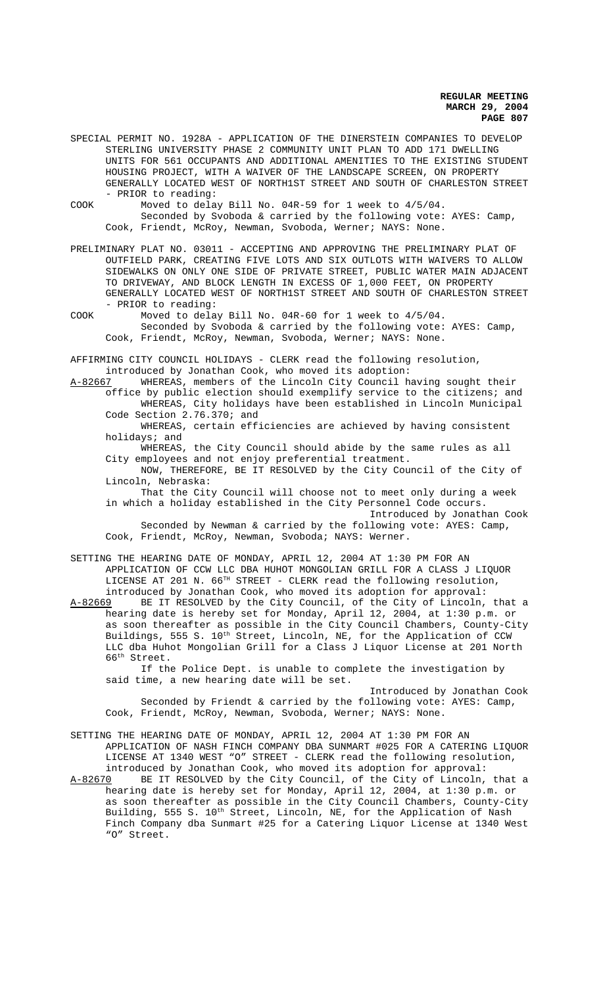- SPECIAL PERMIT NO. 1928A APPLICATION OF THE DINERSTEIN COMPANIES TO DEVELOP STERLING UNIVERSITY PHASE 2 COMMUNITY UNIT PLAN TO ADD 171 DWELLING UNITS FOR 561 OCCUPANTS AND ADDITIONAL AMENITIES TO THE EXISTING STUDENT HOUSING PROJECT, WITH A WAIVER OF THE LANDSCAPE SCREEN, ON PROPERTY GENERALLY LOCATED WEST OF NORTH1ST STREET AND SOUTH OF CHARLESTON STREET - PRIOR to reading:
- COOK Moved to delay Bill No. 04R-59 for 1 week to 4/5/04. Seconded by Svoboda & carried by the following vote: AYES: Camp, Cook, Friendt, McRoy, Newman, Svoboda, Werner; NAYS: None.
- PRELIMINARY PLAT NO. 03011 ACCEPTING AND APPROVING THE PRELIMINARY PLAT OF OUTFIELD PARK, CREATING FIVE LOTS AND SIX OUTLOTS WITH WAIVERS TO ALLOW SIDEWALKS ON ONLY ONE SIDE OF PRIVATE STREET, PUBLIC WATER MAIN ADJACENT TO DRIVEWAY, AND BLOCK LENGTH IN EXCESS OF 1,000 FEET, ON PROPERTY GENERALLY LOCATED WEST OF NORTH1ST STREET AND SOUTH OF CHARLESTON STREET - PRIOR to reading:
- COOK Moved to delay Bill No. 04R-60 for 1 week to 4/5/04. Seconded by Svoboda & carried by the following vote: AYES: Camp, Cook, Friendt, McRoy, Newman, Svoboda, Werner; NAYS: None.

AFFIRMING CITY COUNCIL HOLIDAYS - CLERK read the following resolution, introduced by Jonathan Cook, who moved its adoption:

A-82667 WHEREAS, members of the Lincoln City Council having sought their office by public election should exemplify service to the citizens; and WHEREAS, City holidays have been established in Lincoln Municipal Code Section 2.76.370; and

WHEREAS, certain efficiencies are achieved by having consistent holidays; and

WHEREAS, the City Council should abide by the same rules as all City employees and not enjoy preferential treatment.

NOW, THEREFORE, BE IT RESOLVED by the City Council of the City of Lincoln, Nebraska:

That the City Council will choose not to meet only during a week in which a holiday established in the City Personnel Code occurs.

Introduced by Jonathan Cook Seconded by Newman & carried by the following vote: AYES: Camp, Cook, Friendt, McRoy, Newman, Svoboda; NAYS: Werner.

SETTING THE HEARING DATE OF MONDAY, APRIL 12, 2004 AT 1:30 PM FOR AN APPLICATION OF CCW LLC DBA HUHOT MONGOLIAN GRILL FOR A CLASS J LIQUOR LICENSE AT 201 N. 66<sup>TH</sup> STREET - CLERK read the following resolution, introduced by Jonathan Cook, who moved its adoption for approval:

A-82669 BE IT RESOLVED by the City Council, of the City of Lincoln, that a hearing date is hereby set for Monday, April 12, 2004, at 1:30 p.m. or as soon thereafter as possible in the City Council Chambers, County-City Buildings, 555 S. 10<sup>th</sup> Street, Lincoln, NE, for the Application of CCW LLC dba Huhot Mongolian Grill for a Class J Liquor License at 201 North 66th Street.

If the Police Dept. is unable to complete the investigation by said time, a new hearing date will be set.

Introduced by Jonathan Cook Seconded by Friendt & carried by the following vote: AYES: Camp, Cook, Friendt, McRoy, Newman, Svoboda, Werner; NAYS: None.

SETTING THE HEARING DATE OF MONDAY, APRIL 12, 2004 AT 1:30 PM FOR AN APPLICATION OF NASH FINCH COMPANY DBA SUNMART #025 FOR A CATERING LIQUOR LICENSE AT 1340 WEST "O" STREET - CLERK read the following resolution, introduced by Jonathan Cook, who moved its adoption for approval:

A-82670 BE IT RESOLVED by the City Council, of the City of Lincoln, that a hearing date is hereby set for Monday, April 12, 2004, at 1:30 p.m. or as soon thereafter as possible in the City Council Chambers, County-City Building, 555 S. 10<sup>th</sup> Street, Lincoln, NE, for the Application of Nash Finch Company dba Sunmart #25 for a Catering Liquor License at 1340 West "O" Street.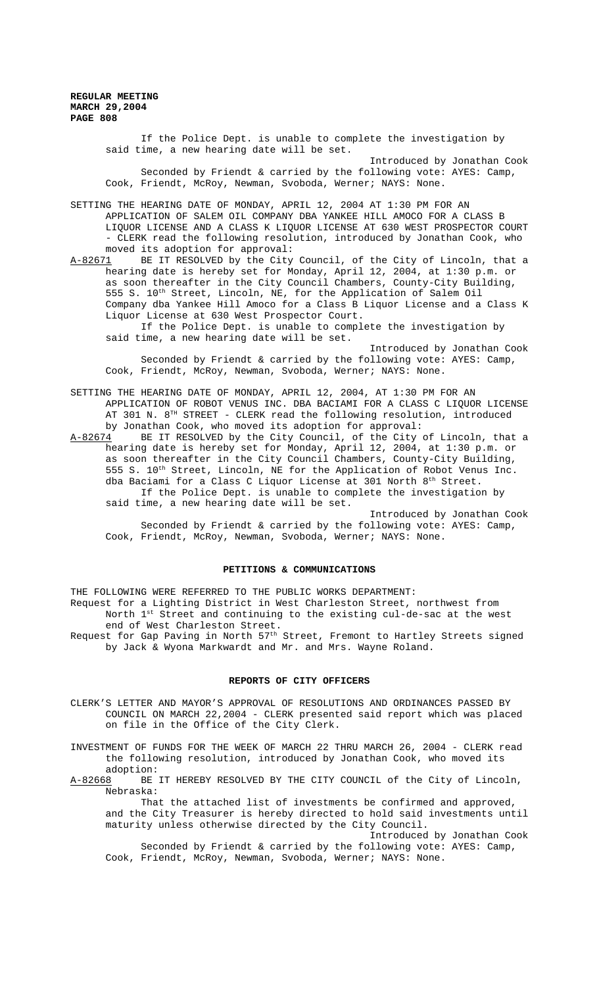If the Police Dept. is unable to complete the investigation by said time, a new hearing date will be set. Introduced by Jonathan Cook Seconded by Friendt & carried by the following vote: AYES: Camp, Cook, Friendt, McRoy, Newman, Svoboda, Werner; NAYS: None. SETTING THE HEARING DATE OF MONDAY, APRIL 12, 2004 AT 1:30 PM FOR AN APPLICATION OF SALEM OIL COMPANY DBA YANKEE HILL AMOCO FOR A CLASS B LIQUOR LICENSE AND A CLASS K LIQUOR LICENSE AT 630 WEST PROSPECTOR COURT - CLERK read the following resolution, introduced by Jonathan Cook, who moved its adoption for approval: A-82671 BE IT RESOLVED by the City Council, of the City of Lincoln, that a hearing date is hereby set for Monday, April 12, 2004, at 1:30 p.m. or as soon thereafter in the City Council Chambers, County-City Building, 555 S. 10th Street, Lincoln, NE, for the Application of Salem Oil Company dba Yankee Hill Amoco for a Class B Liquor License and a Class K Liquor License at 630 West Prospector Court.

If the Police Dept. is unable to complete the investigation by said time, a new hearing date will be set.

Introduced by Jonathan Cook Seconded by Friendt & carried by the following vote: AYES: Camp, Cook, Friendt, McRoy, Newman, Svoboda, Werner; NAYS: None.

SETTING THE HEARING DATE OF MONDAY, APRIL 12, 2004, AT 1:30 PM FOR AN APPLICATION OF ROBOT VENUS INC. DBA BACIAMI FOR A CLASS C LIQUOR LICENSE AT 301 N. 8<sup>TH</sup> STREET - CLERK read the following resolution, introduced by Jonathan Cook, who moved its adoption for approval:

A-82674 BE IT RESOLVED by the City Council, of the City of Lincoln, that a hearing date is hereby set for Monday, April 12, 2004, at 1:30 p.m. or as soon thereafter in the City Council Chambers, County-City Building, 555 S. 10th Street, Lincoln, NE for the Application of Robot Venus Inc. dba Baciami for a Class C Liquor License at 301 North  $8<sup>th</sup>$  Street. If the Police Dept. is unable to complete the investigation by said time, a new hearing date will be set.

Introduced by Jonathan Cook Seconded by Friendt & carried by the following vote: AYES: Camp, Cook, Friendt, McRoy, Newman, Svoboda, Werner; NAYS: None.

## **PETITIONS & COMMUNICATIONS**

THE FOLLOWING WERE REFERRED TO THE PUBLIC WORKS DEPARTMENT:

Request for a Lighting District in West Charleston Street, northwest from North  $1^{st}$  Street and continuing to the existing cul-de-sac at the west end of West Charleston Street.

Request for Gap Paving in North 57<sup>th</sup> Street, Fremont to Hartley Streets signed by Jack & Wyona Markwardt and Mr. and Mrs. Wayne Roland.

### **REPORTS OF CITY OFFICERS**

CLERK'S LETTER AND MAYOR'S APPROVAL OF RESOLUTIONS AND ORDINANCES PASSED BY COUNCIL ON MARCH 22,2004 - CLERK presented said report which was placed on file in the Office of the City Clerk.

INVESTMENT OF FUNDS FOR THE WEEK OF MARCH 22 THRU MARCH 26, 2004 - CLERK read the following resolution, introduced by Jonathan Cook, who moved its

adoption:<br>A-82668 BE BE IT HEREBY RESOLVED BY THE CITY COUNCIL of the City of Lincoln, Nebraska:

That the attached list of investments be confirmed and approved, and the City Treasurer is hereby directed to hold said investments until maturity unless otherwise directed by the City Council.

Introduced by Jonathan Cook Seconded by Friendt & carried by the following vote: AYES: Camp, Cook, Friendt, McRoy, Newman, Svoboda, Werner; NAYS: None.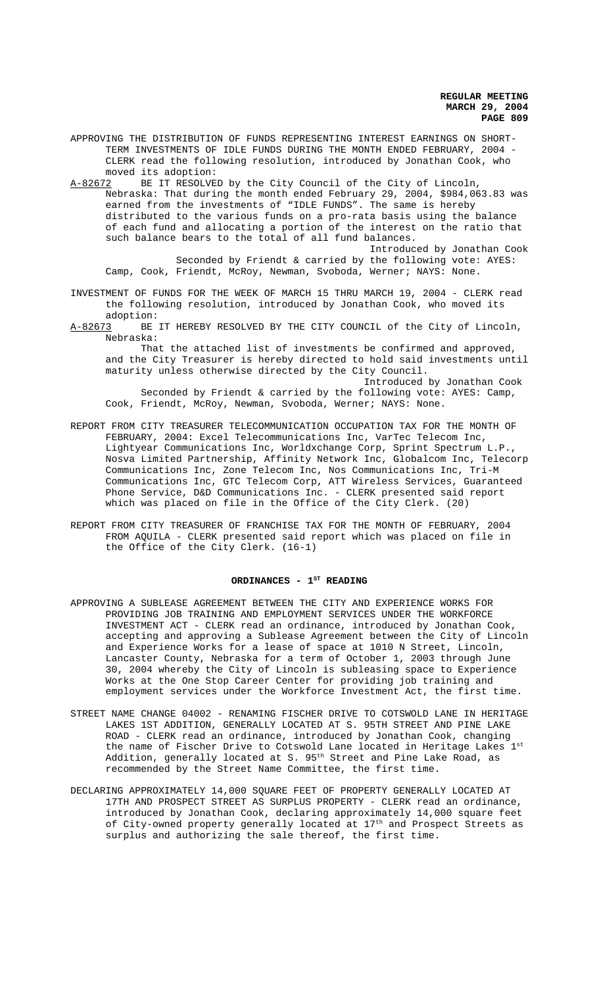APPROVING THE DISTRIBUTION OF FUNDS REPRESENTING INTEREST EARNINGS ON SHORT-TERM INVESTMENTS OF IDLE FUNDS DURING THE MONTH ENDED FEBRUARY, 2004 - CLERK read the following resolution, introduced by Jonathan Cook, who moved its adoption:

A-82672 BE IT RESOLVED by the City Council of the City of Lincoln, Nebraska: That during the month ended February 29, 2004, \$984,063.83 was earned from the investments of "IDLE FUNDS". The same is hereby distributed to the various funds on a pro-rata basis using the balance of each fund and allocating a portion of the interest on the ratio that such balance bears to the total of all fund balances.

Introduced by Jonathan Cook Seconded by Friendt & carried by the following vote: AYES: Camp, Cook, Friendt, McRoy, Newman, Svoboda, Werner; NAYS: None.

- INVESTMENT OF FUNDS FOR THE WEEK OF MARCH 15 THRU MARCH 19, 2004 CLERK read the following resolution, introduced by Jonathan Cook, who moved its
- adoption:<br><u>A-82673</u> BE BE IT HEREBY RESOLVED BY THE CITY COUNCIL of the City of Lincoln, Nebraska:

That the attached list of investments be confirmed and approved, and the City Treasurer is hereby directed to hold said investments until maturity unless otherwise directed by the City Council. Introduced by Jonathan Cook

Seconded by Friendt & carried by the following vote: AYES: Camp, Cook, Friendt, McRoy, Newman, Svoboda, Werner; NAYS: None.

- REPORT FROM CITY TREASURER TELECOMMUNICATION OCCUPATION TAX FOR THE MONTH OF FEBRUARY, 2004: Excel Telecommunications Inc, VarTec Telecom Inc, Lightyear Communications Inc, Worldxchange Corp, Sprint Spectrum L.P., Nosva Limited Partnership, Affinity Network Inc, Globalcom Inc, Telecorp Communications Inc, Zone Telecom Inc, Nos Communications Inc, Tri-M Communications Inc, GTC Telecom Corp, ATT Wireless Services, Guaranteed Phone Service, D&D Communications Inc. - CLERK presented said report which was placed on file in the Office of the City Clerk. (20)
- REPORT FROM CITY TREASURER OF FRANCHISE TAX FOR THE MONTH OF FEBRUARY, 2004 FROM AQUILA - CLERK presented said report which was placed on file in the Office of the City Clerk. (16-1)

# ORDINANCES - 1<sup>st</sup> READING

- APPROVING A SUBLEASE AGREEMENT BETWEEN THE CITY AND EXPERIENCE WORKS FOR PROVIDING JOB TRAINING AND EMPLOYMENT SERVICES UNDER THE WORKFORCE INVESTMENT ACT - CLERK read an ordinance, introduced by Jonathan Cook, accepting and approving a Sublease Agreement between the City of Lincoln and Experience Works for a lease of space at 1010 N Street, Lincoln, Lancaster County, Nebraska for a term of October 1, 2003 through June 30, 2004 whereby the City of Lincoln is subleasing space to Experience Works at the One Stop Career Center for providing job training and employment services under the Workforce Investment Act, the first time.
- STREET NAME CHANGE 04002 RENAMING FISCHER DRIVE TO COTSWOLD LANE IN HERITAGE LAKES 1ST ADDITION, GENERALLY LOCATED AT S. 95TH STREET AND PINE LAKE ROAD - CLERK read an ordinance, introduced by Jonathan Cook, changing the name of Fischer Drive to Cotswold Lane located in Heritage Lakes 1st Addition, generally located at S. 95<sup>th</sup> Street and Pine Lake Road, as recommended by the Street Name Committee, the first time.
- DECLARING APPROXIMATELY 14,000 SQUARE FEET OF PROPERTY GENERALLY LOCATED AT 17TH AND PROSPECT STREET AS SURPLUS PROPERTY - CLERK read an ordinance, introduced by Jonathan Cook, declaring approximately 14,000 square feet of City-owned property generally located at 17th and Prospect Streets as surplus and authorizing the sale thereof, the first time.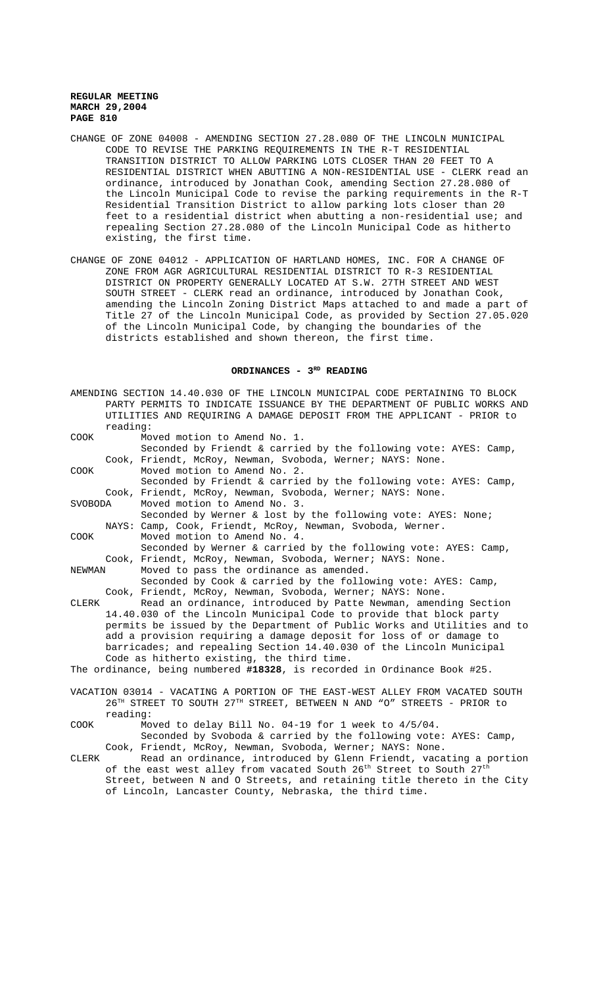- CHANGE OF ZONE 04008 AMENDING SECTION 27.28.080 OF THE LINCOLN MUNICIPAL CODE TO REVISE THE PARKING REQUIREMENTS IN THE R-T RESIDENTIAL TRANSITION DISTRICT TO ALLOW PARKING LOTS CLOSER THAN 20 FEET TO A RESIDENTIAL DISTRICT WHEN ABUTTING A NON-RESIDENTIAL USE - CLERK read an ordinance, introduced by Jonathan Cook, amending Section 27.28.080 of the Lincoln Municipal Code to revise the parking requirements in the R-T Residential Transition District to allow parking lots closer than 20 feet to a residential district when abutting a non-residential use; and repealing Section 27.28.080 of the Lincoln Municipal Code as hitherto existing, the first time.
- CHANGE OF ZONE 04012 APPLICATION OF HARTLAND HOMES, INC. FOR A CHANGE OF ZONE FROM AGR AGRICULTURAL RESIDENTIAL DISTRICT TO R-3 RESIDENTIAL DISTRICT ON PROPERTY GENERALLY LOCATED AT S.W. 27TH STREET AND WEST SOUTH STREET - CLERK read an ordinance, introduced by Jonathan Cook, amending the Lincoln Zoning District Maps attached to and made a part of Title 27 of the Lincoln Municipal Code, as provided by Section 27.05.020 of the Lincoln Municipal Code, by changing the boundaries of the districts established and shown thereon, the first time.

### **ORDINANCES - 3RD READING**

|         |                                                                                                                                             | AMENDING SECTION 14.40.030 OF THE LINCOLN MUNICIPAL CODE PERTAINING TO BLOCK                   |  |  |  |
|---------|---------------------------------------------------------------------------------------------------------------------------------------------|------------------------------------------------------------------------------------------------|--|--|--|
|         |                                                                                                                                             | PARTY PERMITS TO INDICATE ISSUANCE BY THE DEPARTMENT OF PUBLIC WORKS AND                       |  |  |  |
|         |                                                                                                                                             | UTILITIES AND REOUIRING A DAMAGE DEPOSIT FROM THE APPLICANT - PRIOR to                         |  |  |  |
|         | reading:                                                                                                                                    |                                                                                                |  |  |  |
| COOK    |                                                                                                                                             | Moved motion to Amend No. 1.                                                                   |  |  |  |
|         |                                                                                                                                             | Seconded by Friendt & carried by the following vote: AYES: Camp,                               |  |  |  |
|         |                                                                                                                                             | Cook, Friendt, McRoy, Newman, Svoboda, Werner; NAYS: None.                                     |  |  |  |
| COOK    |                                                                                                                                             | Moved motion to Amend No. 2.                                                                   |  |  |  |
|         |                                                                                                                                             | Seconded by Friendt & carried by the following vote: AYES: Camp,                               |  |  |  |
|         |                                                                                                                                             | Cook, Friendt, McRoy, Newman, Svoboda, Werner; NAYS: None.                                     |  |  |  |
| SVOBODA |                                                                                                                                             | Moved motion to Amend No. 3.                                                                   |  |  |  |
|         |                                                                                                                                             | Seconded by Werner & lost by the following vote: AYES: None;                                   |  |  |  |
|         |                                                                                                                                             | NAYS: Camp, Cook, Friendt, McRoy, Newman, Svoboda, Werner.                                     |  |  |  |
| COOK    |                                                                                                                                             | Moved motion to Amend No. 4.                                                                   |  |  |  |
|         |                                                                                                                                             | Seconded by Werner & carried by the following vote: AYES: Camp,                                |  |  |  |
|         |                                                                                                                                             | Cook, Friendt, McRoy, Newman, Svoboda, Werner; NAYS: None.                                     |  |  |  |
| NEWMAN  |                                                                                                                                             | Moved to pass the ordinance as amended.                                                        |  |  |  |
|         |                                                                                                                                             | Seconded by Cook & carried by the following vote: AYES: Camp,                                  |  |  |  |
|         |                                                                                                                                             | Cook, Friendt, McRoy, Newman, Svoboda, Werner; NAYS: None.                                     |  |  |  |
| CLERK   |                                                                                                                                             | Read an ordinance, introduced by Patte Newman, amending Section                                |  |  |  |
|         |                                                                                                                                             | 14.40.030 of the Lincoln Municipal Code to provide that block party                            |  |  |  |
|         |                                                                                                                                             | permits be issued by the Department of Public Works and Utilities and to                       |  |  |  |
|         | add a provision requiring a damage deposit for loss of or damage to<br>barricades; and repealing Section 14.40.030 of the Lincoln Municipal |                                                                                                |  |  |  |
|         |                                                                                                                                             | Code as hitherto existing, the third time.                                                     |  |  |  |
|         |                                                                                                                                             | The ordinance, being numbered #18328, is recorded in Ordinance Book #25.                       |  |  |  |
|         |                                                                                                                                             |                                                                                                |  |  |  |
|         |                                                                                                                                             | VACATION 03014 - VACATING A PORTION OF THE EAST-WEST ALLEY FROM VACATED SOUTH                  |  |  |  |
|         |                                                                                                                                             | 26 <sup>TH</sup> STREET TO SOUTH 27 <sup>TH</sup> STREET, BETWEEN N AND "O" STREETS - PRIOR to |  |  |  |
|         | reading:                                                                                                                                    |                                                                                                |  |  |  |
| COOK    |                                                                                                                                             | Moved to delay Bill No. 04-19 for 1 week to 4/5/04.                                            |  |  |  |
|         |                                                                                                                                             | Coganded by Cychode 6 genuicd by the following yets: AVEC: Comp                                |  |  |  |

- Seconded by Svoboda & carried by the following vote: AYES: Camp, Cook, Friendt, McRoy, Newman, Svoboda, Werner; NAYS: None.
- CLERK Read an ordinance, introduced by Glenn Friendt, vacating a portion of the east west alley from vacated South 26<sup>th</sup> Street to South 27<sup>th</sup> Street, between N and O Streets, and retaining title thereto in the City of Lincoln, Lancaster County, Nebraska, the third time.